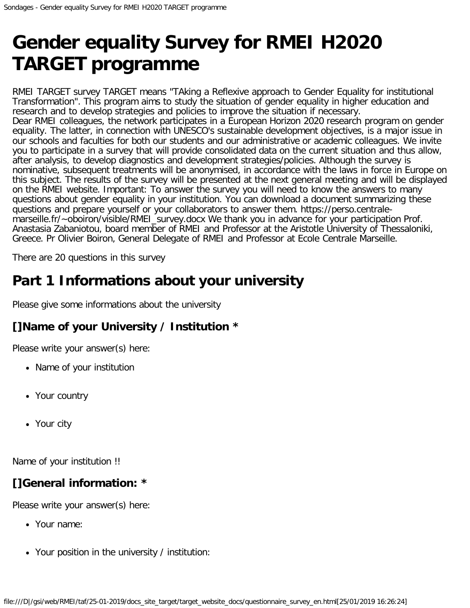# **Gender equality Survey for RMEI H2020 TARGET programme**

RMEI TARGET survey TARGET means "TAking a Reflexive approach to Gender Equality for institutional Transformation". This program aims to study the situation of gender equality in higher education and research and to develop strategies and policies to improve the situation if necessary. Dear RMEI colleagues, the network participates in a European Horizon 2020 research program on gender equality. The latter, in connection with UNESCO's sustainable development objectives, is a major issue in our schools and faculties for both our students and our administrative or academic colleagues. We invite you to participate in a survey that will provide consolidated data on the current situation and thus allow, after analysis, to develop diagnostics and development strategies/policies. Although the survey is nominative, subsequent treatments will be anonymised, in accordance with the laws in force in Europe on this subject. The results of the survey will be presented at the next general meeting and will be displayed on the RMEI website. Important: To answer the survey you will need to know the answers to many questions about gender equality in your institution. You can download a document summarizing these questions and prepare yourself or your collaborators to answer them. https://perso.centralemarseille.fr/~oboiron/visible/RMEI\_survey.docx We thank you in advance for your participation Prof. Anastasia Zabaniotou, board member of RMEI and Professor at the Aristotle University of Thessaloniki, Greece. Pr Olivier Boiron, General Delegate of RMEI and Professor at Ecole Centrale Marseille.

There are 20 questions in this survey

# **Part 1 Informations about your university**

Please give some informations about the university

#### **[]Name of your University / Institution \***

Please write your answer(s) here:

- Name of your institution
- Your country
- Your city

Name of your institution !!

### **[]General information: \***

Please write your answer(s) here:

- Your name:
- Your position in the university / institution: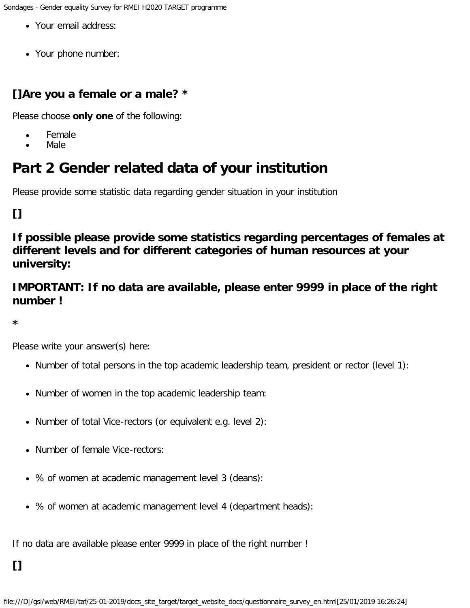Sondages - Gender equality Survey for RMEI H2020 TARGET programme

- Your email address:
- Your phone number:

#### **[]Are you a female or a male? \***

Please choose **only one** of the following:

- Female  $\bullet$
- Male

# **Part 2 Gender related data of your institution**

Please provide some statistic data regarding gender situation in your institution

### **[]**

**If possible please provide some statistics regarding percentages of females at different levels and for different categories of human resources at your university:**

#### **IMPORTANT: If no data are available, please enter 9999 in place of the right number !**

**\***

Please write your answer(s) here:

- Number of total persons in the top academic leadership team, president or rector (level 1):
- Number of women in the top academic leadership team:
- Number of total Vice-rectors (or equivalent e.g. level 2):
- Number of female Vice-rectors:
- % of women at academic management level 3 (deans):
- % of women at academic management level 4 (department heads):

If no data are available please enter 9999 in place of the right number !

**[]**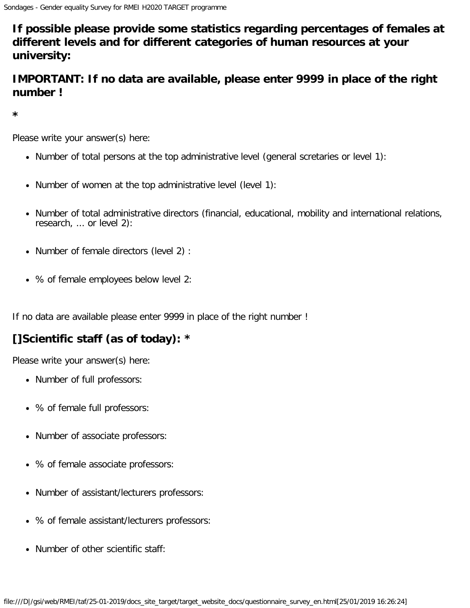**If possible please provide some statistics regarding percentages of females at different levels and for different categories of human resources at your university:**

#### **IMPORTANT: If no data are available, please enter 9999 in place of the right number !**

**\***

Please write your answer(s) here:

- Number of total persons at the top administrative level (general scretaries or level 1):
- Number of women at the top administrative level (level 1):
- Number of total administrative directors (financial, educational, mobility and international relations, research, ... or level 2):
- Number of female directors (level 2) :
- % of female employees below level 2:

If no data are available please enter 9999 in place of the right number !

#### **[]Scientific staff (as of today): \***

Please write your answer(s) here:

- Number of full professors:
- % of female full professors:
- Number of associate professors:
- % of female associate professors:
- Number of assistant/lecturers professors:
- % of female assistant/lecturers professors:
- Number of other scientific staff: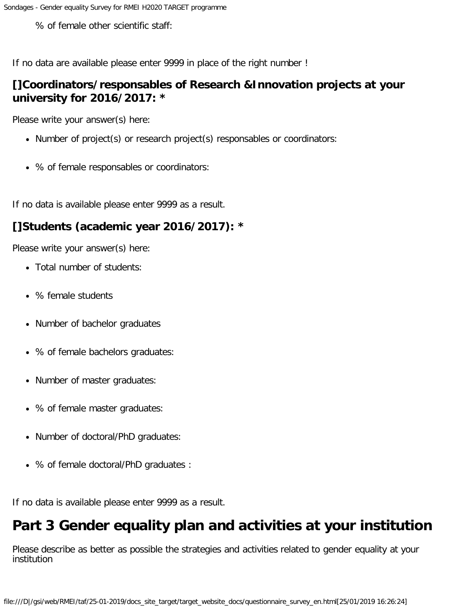% of female other scientific staff:

If no data are available please enter 9999 in place of the right number !

#### **[]Coordinators/responsables of Research &Innovation projects at your university for 2016/2017: \***

Please write your answer(s) here:

- Number of project(s) or research project(s) responsables or coordinators:
- % of female responsables or coordinators:

If no data is available please enter 9999 as a result.

#### **[]Students (academic year 2016/2017): \***

Please write your answer(s) here:

- Total number of students:
- % female students
- Number of bachelor graduates
- % of female bachelors graduates:
- Number of master graduates:
- % of female master graduates:
- Number of doctoral/PhD graduates:
- % of female doctoral/PhD graduates :

If no data is available please enter 9999 as a result.

### **Part 3 Gender equality plan and activities at your institution**

Please describe as better as possible the strategies and activities related to gender equality at your institution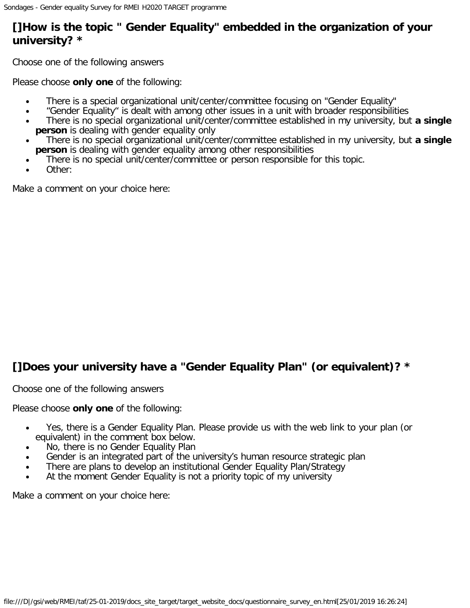#### **[]How is the topic " Gender Equality" embedded in the organization of your university? \***

Choose one of the following answers

Please choose **only one** of the following:

- There is a special organizational unit/center/committee focusing on "Gender Equality"  $\bullet$
- "Gender Equality" is dealt with among other issues in a unit with broader responsibilities  $\bullet$
- There is no special organizational unit/center/committee established in my university, but **a single person** is dealing with gender equality only
- There is no special organizational unit/center/committee established in my university, but **a single person** is dealing with gender equality among other responsibilities
- There is no special unit/center/committee or person responsible for this topic.
- Other:

Make a comment on your choice here:

#### **[]Does your university have a "Gender Equality Plan" (or equivalent)? \***

Choose one of the following answers

Please choose **only one** of the following:

- Yes, there is a Gender Equality Plan. Please provide us with the web link to your plan (or  $\bullet$ equivalent) in the comment box below.
- No, there is no Gender Equality Plan
- Gender is an integrated part of the university's human resource strategic plan
- There are plans to develop an institutional Gender Equality Plan/Strategy
- At the moment Gender Equality is not a priority topic of my university

Make a comment on your choice here: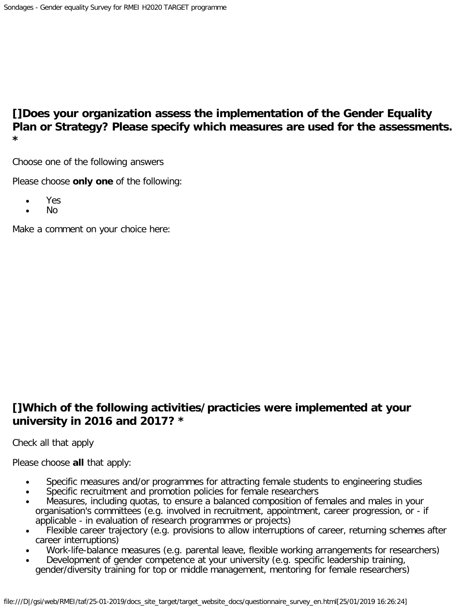#### **[]Does your organization assess the implementation of the Gender Equality Plan or Strategy? Please specify which measures are used for the assessments. \***

Choose one of the following answers

Please choose **only one** of the following:

- Yes  $\bullet$
- No

Make a comment on your choice here:

#### **[]Which of the following activities/practicies were implemented at your university in 2016 and 2017? \***

Check all that apply

Please choose **all** that apply:

- Specific measures and/or programmes for attracting female students to engineering studies
- Specific recruitment and promotion policies for female researchers  $\bullet$
- Measures, including quotas, to ensure a balanced composition of females and males in your organisation's committees (e.g. involved in recruitment, appointment, career progression, or - if applicable - in evaluation of research programmes or projects)
- Flexible career trajectory (e.g. provisions to allow interruptions of career, returning schemes after career interruptions)
- Work-life-balance measures (e.g. parental leave, flexible working arrangements for researchers)
- Development of gender competence at your university (e.g. specific leadership training, gender/diversity training for top or middle management, mentoring for female researchers)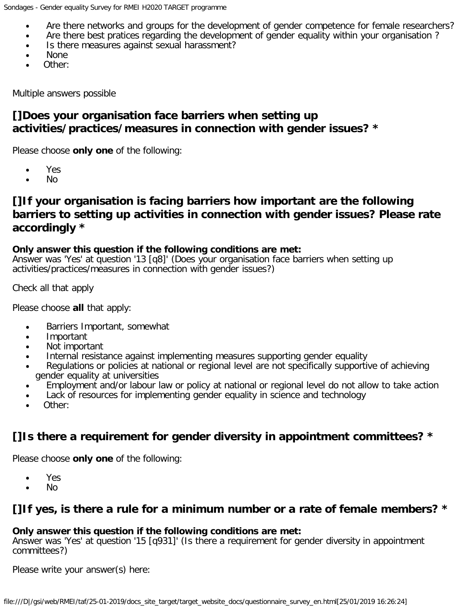- Are there networks and groups for the development of gender competence for female researchers?
- Are there best pratices regarding the development of gender equality within your organisation ?  $\bullet$
- Is there measures against sexual harassment?  $\bullet$
- None
- Other:

Multiple answers possible

#### **[]Does your organisation face barriers when setting up activities/practices/measures in connection with gender issues? \***

Please choose **only one** of the following:

- Yes  $\bullet$
- No  $\bullet$

#### **[]If your organisation is facing barriers how important are the following barriers to setting up activities in connection with gender issues? Please rate accordingly \***

#### **Only answer this question if the following conditions are met:**

Answer was 'Yes' at question '13 [q8]' (Does your organisation face barriers when setting up activities/practices/measures in connection with gender issues?)

Check all that apply

Please choose **all** that apply:

- Barriers Important, somewhat  $\bullet$
- $\bullet$ Important
- Not important  $\bullet$
- Internal resistance against implementing measures supporting gender equality
- Regulations or policies at national or regional level are not specifically supportive of achieving  $\bullet$ gender equality at universities
- Employment and/or labour law or policy at national or regional level do not allow to take action
- Lack of resources for implementing gender equality in science and technology
- Other:

#### **[]Is there a requirement for gender diversity in appointment committees? \***

Please choose **only one** of the following:

- Yes
- No  $\bullet$

#### **[]If yes, is there a rule for a minimum number or a rate of female members? \***

#### **Only answer this question if the following conditions are met:**

Answer was 'Yes' at question '15 [q931]' (Is there a requirement for gender diversity in appointment committees?)

Please write your answer(s) here: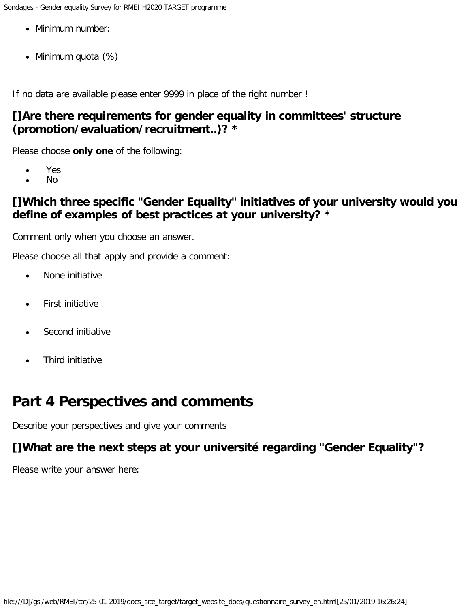- Minimum number:
- Minimum quota (%)

If no data are available please enter 9999 in place of the right number !

#### **[]Are there requirements for gender equality in committees' structure (promotion/evaluation/recruitment..)? \***

Please choose **only one** of the following:

- Yes  $\bullet$
- No

#### **[]Which three specific "Gender Equality" initiatives of your university would you define of examples of best practices at your university? \***

Comment only when you choose an answer.

Please choose all that apply and provide a comment:

- None initiative  $\bullet$
- First initiative  $\bullet$
- Second initiative
- Third initiative

### **Part 4 Perspectives and comments**

Describe your perspectives and give your comments

#### **[]What are the next steps at your université regarding "Gender Equality"?**

Please write your answer here: